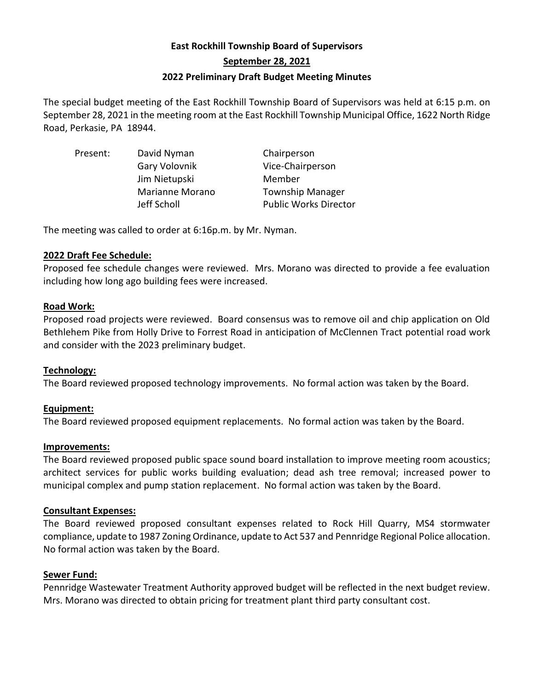# **East Rockhill Township Board of Supervisors September 28, 2021 2022 Preliminary Draft Budget Meeting Minutes**

The special budget meeting of the East Rockhill Township Board of Supervisors was held at 6:15 p.m. on September 28, 2021 in the meeting room at the East Rockhill Township Municipal Office, 1622 North Ridge Road, Perkasie, PA 18944.

Present: David Nyman Chairperson Gary Volovnik Vice-Chairperson Jim Nietupski Member Marianne Morano Township Manager Jeff Scholl Public Works Director

The meeting was called to order at 6:16p.m. by Mr. Nyman.

### **2022 Draft Fee Schedule:**

Proposed fee schedule changes were reviewed. Mrs. Morano was directed to provide a fee evaluation including how long ago building fees were increased.

### **Road Work:**

Proposed road projects were reviewed. Board consensus was to remove oil and chip application on Old Bethlehem Pike from Holly Drive to Forrest Road in anticipation of McClennen Tract potential road work and consider with the 2023 preliminary budget.

## **Technology:**

The Board reviewed proposed technology improvements. No formal action was taken by the Board.

## **Equipment:**

The Board reviewed proposed equipment replacements. No formal action was taken by the Board.

### **Improvements:**

The Board reviewed proposed public space sound board installation to improve meeting room acoustics; architect services for public works building evaluation; dead ash tree removal; increased power to municipal complex and pump station replacement. No formal action was taken by the Board.

### **Consultant Expenses:**

The Board reviewed proposed consultant expenses related to Rock Hill Quarry, MS4 stormwater compliance, update to 1987 Zoning Ordinance, update to Act 537 and Pennridge Regional Police allocation. No formal action was taken by the Board.

### **Sewer Fund:**

Pennridge Wastewater Treatment Authority approved budget will be reflected in the next budget review. Mrs. Morano was directed to obtain pricing for treatment plant third party consultant cost.